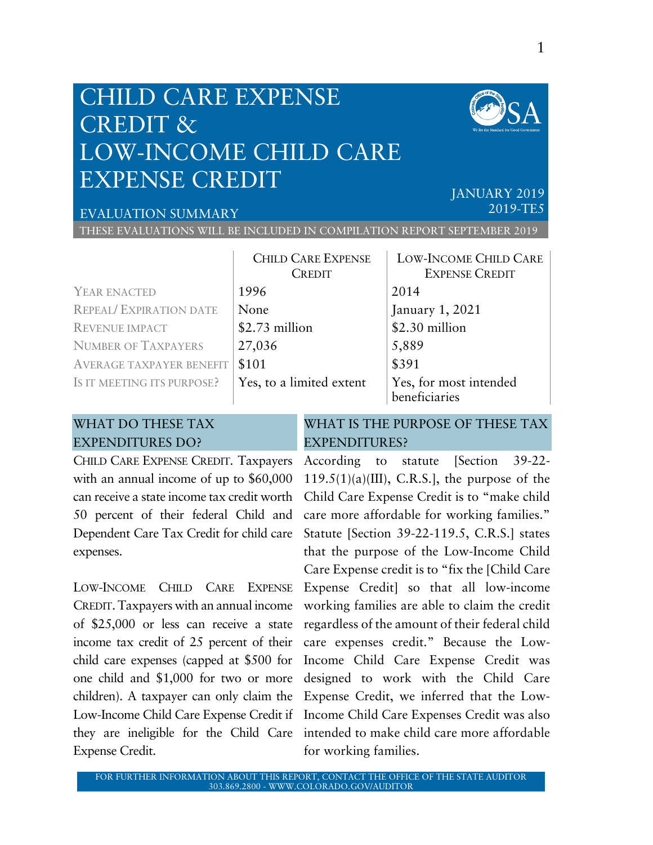## CHILD CARE EXPENSE CREDIT & LOW-INCOME CHILD CARE EXPENSE CREDIT



## EVALUATION SUMMARY

JANUARY 2019 2019-TE5

THESE EVALUATIONS WILL BE INCLUDED IN COMPILATION REPORT SEPTEMBER 2019

|                                 | <b>CHILD CARE EXPENSE</b><br><b>CREDIT</b> | <b>LOW-INCOME CHILD CARE</b><br><b>EXPENSE CREDIT</b> |
|---------------------------------|--------------------------------------------|-------------------------------------------------------|
| YEAR ENACTED                    | 1996                                       | 2014                                                  |
| <b>REPEAL/ EXPIRATION DATE</b>  | None                                       | January 1, 2021                                       |
| <b>REVENUE IMPACT</b>           | \$2.73 million                             | \$2.30 million                                        |
| <b>NUMBER OF TAXPAYERS</b>      | 27,036                                     | 5,889                                                 |
| <b>AVERAGE TAXPAYER BENEFIT</b> | \$101                                      | \$391                                                 |
| IS IT MEETING ITS PURPOSE?      | Yes, to a limited extent                   | Yes, for most intended<br>beneficiaries               |

## WHAT DO THESE TAX EXPENDITURES DO?

WHAT IS THE PURPOSE OF THESE TAX EXPENDITURES?

CHILD CARE EXPENSE CREDIT. Taxpayers According to statute [Section 39-22 with an annual income of up to  $$60,000$ can receive a state income tax credit worth 50 percent of their federal Child and Dependent Care Tax Credit for child care expenses.

LOW-INCOME CHILD CARE EXPENSE CREDIT. Taxpayers with an annual income of \$25,000 or less can receive a state income tax credit of 25 percent of their child care expenses (capped at \$500 for one child and \$1,000 for two or more children). A taxpayer can only claim the Expense Credit.

Low-Income Child Care Expense Credit if Income Child Care Expenses Credit was also they are ineligible for the Child Care intended to make child care more affordable  $119.5(1)(a)(III)$ , C.R.S.], the purpose of the Child Care Expense Credit is to "make child care more affordable for working families." Statute [Section 39-22-119.5, C.R.S.] states that the purpose of the Low-Income Child Care Expense credit is to "fix the [Child Care Expense Credit] so that all low-income working families are able to claim the credit regardless of the amount of their federal child care expenses credit." Because the Low-Income Child Care Expense Credit was designed to work with the Child Care Expense Credit, we inferred that the Lowfor working families.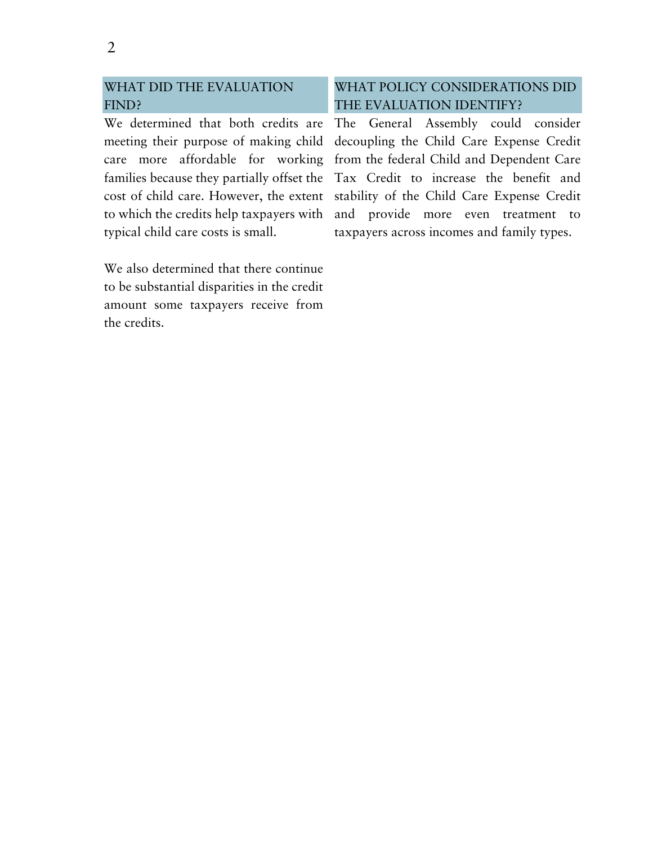## WHAT DID THE EVALUATION FIND?

We determined that both credits are meeting their purpose of making child care more affordable for working families because they partially offset the cost of child care. However, the extent to which the credits help taxpayers with typical child care costs is small.

We also determined that there continue to be substantial disparities in the credit amount some taxpayers receive from the credits.

## WHAT POLICY CONSIDERATIONS DID THE EVALUATION IDENTIFY?

The General Assembly could consider decoupling the Child Care Expense Credit from the federal Child and Dependent Care Tax Credit to increase the benefit and stability of the Child Care Expense Credit and provide more even treatment to taxpayers across incomes and family types.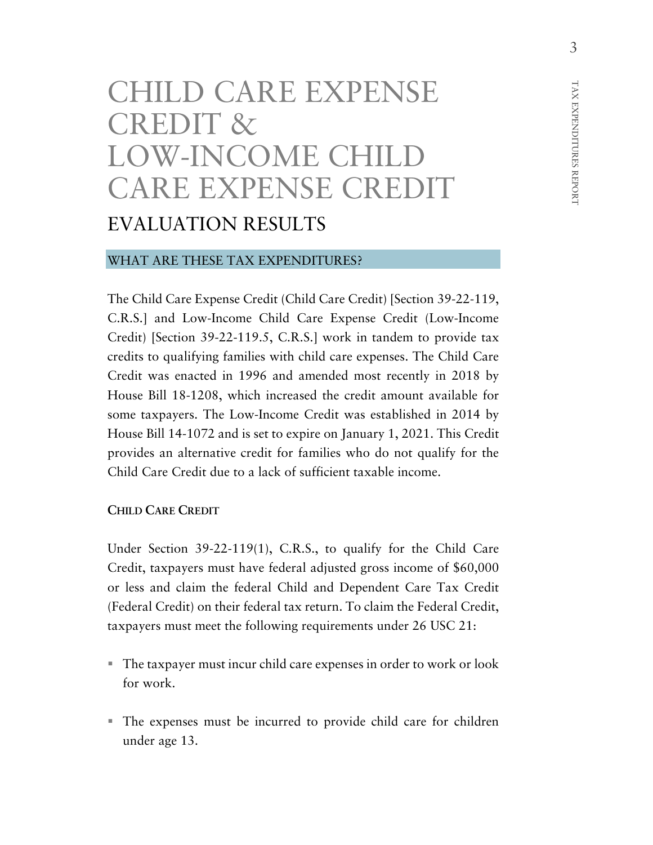# CHILD CARE EXPENSE CREDIT & LOW-INCOME CHILD CARE EXPENSE CREDIT EVALUATION RESULTS

#### WHAT ARE THESE TAX EXPENDITURES?

The Child Care Expense Credit (Child Care Credit) [Section 39-22-119, C.R.S.] and Low-Income Child Care Expense Credit (Low-Income Credit) [Section 39-22-119.5, C.R.S.] work in tandem to provide tax credits to qualifying families with child care expenses. The Child Care Credit was enacted in 1996 and amended most recently in 2018 by House Bill 18-1208, which increased the credit amount available for some taxpayers. The Low-Income Credit was established in 2014 by House Bill 14-1072 and is set to expire on January 1, 2021. This Credit provides an alternative credit for families who do not qualify for the Child Care Credit due to a lack of sufficient taxable income.

#### **CHILD CARE CREDIT**

Under Section 39-22-119(1), C.R.S., to qualify for the Child Care Credit, taxpayers must have federal adjusted gross income of \$60,000 or less and claim the federal Child and Dependent Care Tax Credit (Federal Credit) on their federal tax return. To claim the Federal Credit, taxpayers must meet the following requirements under 26 USC 21:

- The taxpayer must incur child care expenses in order to work or look for work.
- The expenses must be incurred to provide child care for children under age 13.

REPORT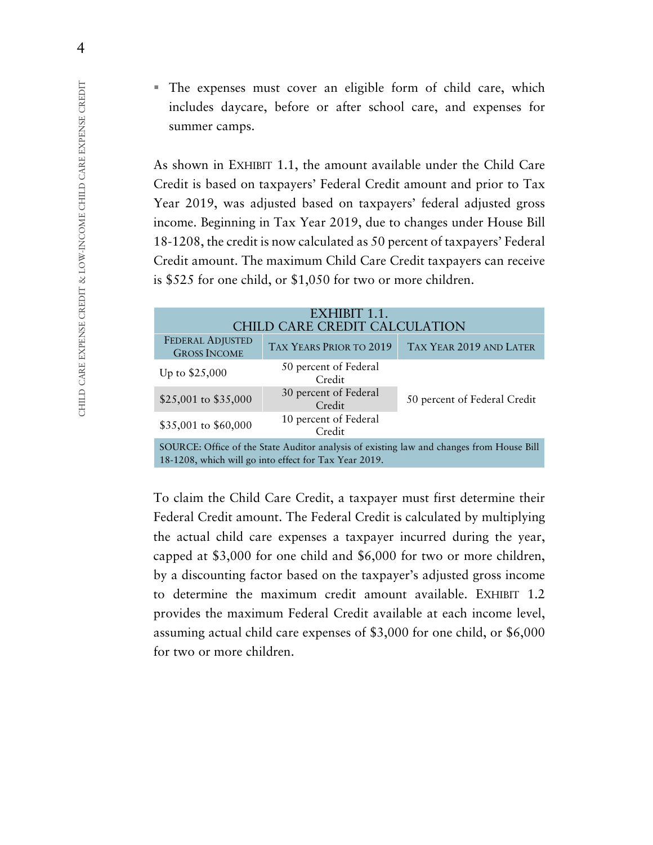The expenses must cover an eligible form of child care, which includes daycare, before or after school care, and expenses for summer camps.

As shown in EXHIBIT 1.1, the amount available under the Child Care Credit is based on taxpayers' Federal Credit amount and prior to Tax Year 2019, was adjusted based on taxpayers' federal adjusted gross income. Beginning in Tax Year 2019, due to changes under House Bill 18-1208, the credit is now calculated as 50 percent of taxpayers' Federal Credit amount. The maximum Child Care Credit taxpayers can receive is \$525 for one child, or \$1,050 for two or more children.

| EXHIBIT 1.1.                                                                                                                                      |                                 |                              |  |
|---------------------------------------------------------------------------------------------------------------------------------------------------|---------------------------------|------------------------------|--|
| <b>CHILD CARE CREDIT CALCULATION</b>                                                                                                              |                                 |                              |  |
| <b>FEDERAL ADJUSTED</b><br><b>GROSS INCOME</b>                                                                                                    | TAX YEARS PRIOR TO 2019         | TAX YEAR 2019 AND LATER      |  |
| Up to $$25,000$                                                                                                                                   | 50 percent of Federal<br>Credit |                              |  |
| \$25,001 to \$35,000                                                                                                                              | 30 percent of Federal<br>Credit | 50 percent of Federal Credit |  |
| \$35,001 to \$60,000                                                                                                                              | 10 percent of Federal<br>Credit |                              |  |
| SOURCE: Office of the State Auditor analysis of existing law and changes from House Bill<br>18-1208, which will go into effect for Tax Year 2019. |                                 |                              |  |

To claim the Child Care Credit, a taxpayer must first determine their Federal Credit amount. The Federal Credit is calculated by multiplying the actual child care expenses a taxpayer incurred during the year, capped at \$3,000 for one child and \$6,000 for two or more children, by a discounting factor based on the taxpayer's adjusted gross income to determine the maximum credit amount available. EXHIBIT 1.2 provides the maximum Federal Credit available at each income level, assuming actual child care expenses of \$3,000 for one child, or \$6,000 for two or more children.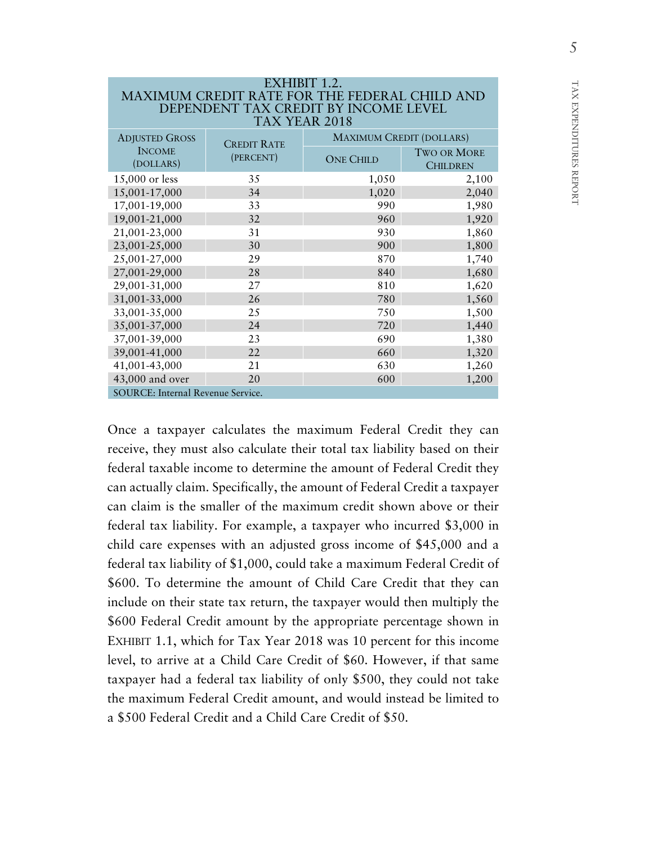| EXHIBIT 1.2.                                                                                 |                    |                                 |                                       |  |
|----------------------------------------------------------------------------------------------|--------------------|---------------------------------|---------------------------------------|--|
| <b>MAXIMUM CREDIT RATE FOR THE FEDERAL CHILD AND</b><br>DEPENDENT TAX CREDIT BY INCOME LEVEL |                    |                                 |                                       |  |
| TAX YEAR 2018                                                                                |                    |                                 |                                       |  |
| <b>ADJUSTED GROSS</b>                                                                        | <b>CREDIT RATE</b> | <b>MAXIMUM CREDIT (DOLLARS)</b> |                                       |  |
| <b>INCOME</b><br>(DOLLARS)                                                                   | (PERCENT)          | <b>ONE CHILD</b>                | <b>TWO OR MORE</b><br><b>CHILDREN</b> |  |
| 15,000 or less                                                                               | 35                 | 1,050                           | 2,100                                 |  |
| 15,001-17,000                                                                                | 34                 | 1,020                           | 2,040                                 |  |
| 17,001-19,000                                                                                | 33                 | 990                             | 1,980                                 |  |
| 19,001-21,000                                                                                | 32                 | 960                             | 1,920                                 |  |
| 21,001-23,000                                                                                | 31                 | 930                             | 1,860                                 |  |
| 23,001-25,000                                                                                | 30                 | 900                             | 1,800                                 |  |
| 25,001-27,000                                                                                | 29                 | 870                             | 1,740                                 |  |
| 27,001-29,000                                                                                | 28                 | 840                             | 1,680                                 |  |
| 29,001-31,000                                                                                | 27                 | 810                             | 1,620                                 |  |
| 31,001-33,000                                                                                | 26                 | 780                             | 1,560                                 |  |
| 33,001-35,000                                                                                | 25                 | 750                             | 1,500                                 |  |
| 35,001-37,000                                                                                | 24                 | 720                             | 1,440                                 |  |
| 37,001-39,000                                                                                | 23                 | 690                             | 1,380                                 |  |
| 39,001-41,000                                                                                | 22                 | 660                             | 1,320                                 |  |
| 41,001-43,000                                                                                | 21                 | 630                             | 1,260                                 |  |
| 43,000 and over                                                                              | 20                 | 600                             | 1,200                                 |  |
| SOURCE: Internal Revenue Service.                                                            |                    |                                 |                                       |  |

Once a taxpayer calculates the maximum Federal Credit they can receive, they must also calculate their total tax liability based on their federal taxable income to determine the amount of Federal Credit they can actually claim. Specifically, the amount of Federal Credit a taxpayer can claim is the smaller of the maximum credit shown above or their federal tax liability. For example, a taxpayer who incurred \$3,000 in child care expenses with an adjusted gross income of \$45,000 and a federal tax liability of \$1,000, could take a maximum Federal Credit of \$600. To determine the amount of Child Care Credit that they can include on their state tax return, the taxpayer would then multiply the \$600 Federal Credit amount by the appropriate percentage shown in EXHIBIT 1.1, which for Tax Year 2018 was 10 percent for this income level, to arrive at a Child Care Credit of \$60. However, if that same taxpayer had a federal tax liability of only \$500, they could not take the maximum Federal Credit amount, and would instead be limited to a \$500 Federal Credit and a Child Care Credit of \$50.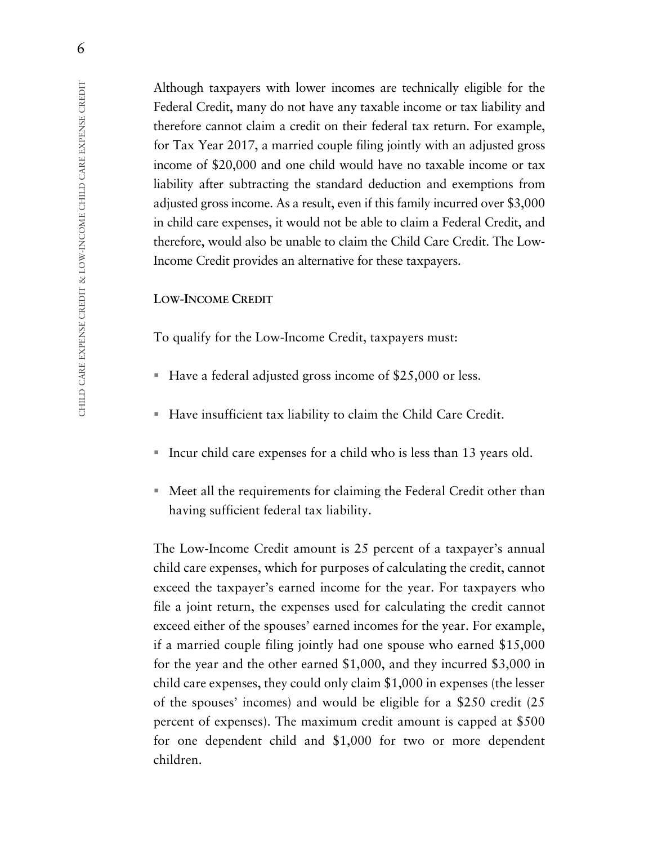Although taxpayers with lower incomes are technically eligible for the Federal Credit, many do not have any taxable income or tax liability and therefore cannot claim a credit on their federal tax return. For example, for Tax Year 2017, a married couple filing jointly with an adjusted gross income of \$20,000 and one child would have no taxable income or tax liability after subtracting the standard deduction and exemptions from adjusted gross income. As a result, even if this family incurred over \$3,000 in child care expenses, it would not be able to claim a Federal Credit, and therefore, would also be unable to claim the Child Care Credit. The Low-Income Credit provides an alternative for these taxpayers.

#### **LOW-INCOME CREDIT**

To qualify for the Low-Income Credit, taxpayers must:

- Have a federal adjusted gross income of \$25,000 or less.
- Have insufficient tax liability to claim the Child Care Credit.
- Incur child care expenses for a child who is less than 13 years old.
- Meet all the requirements for claiming the Federal Credit other than having sufficient federal tax liability.

The Low-Income Credit amount is 25 percent of a taxpayer's annual child care expenses, which for purposes of calculating the credit, cannot exceed the taxpayer's earned income for the year. For taxpayers who file a joint return, the expenses used for calculating the credit cannot exceed either of the spouses' earned incomes for the year. For example, if a married couple filing jointly had one spouse who earned \$15,000 for the year and the other earned \$1,000, and they incurred \$3,000 in child care expenses, they could only claim \$1,000 in expenses (the lesser of the spouses' incomes) and would be eligible for a \$250 credit (25 percent of expenses). The maximum credit amount is capped at \$500 for one dependent child and \$1,000 for two or more dependent children.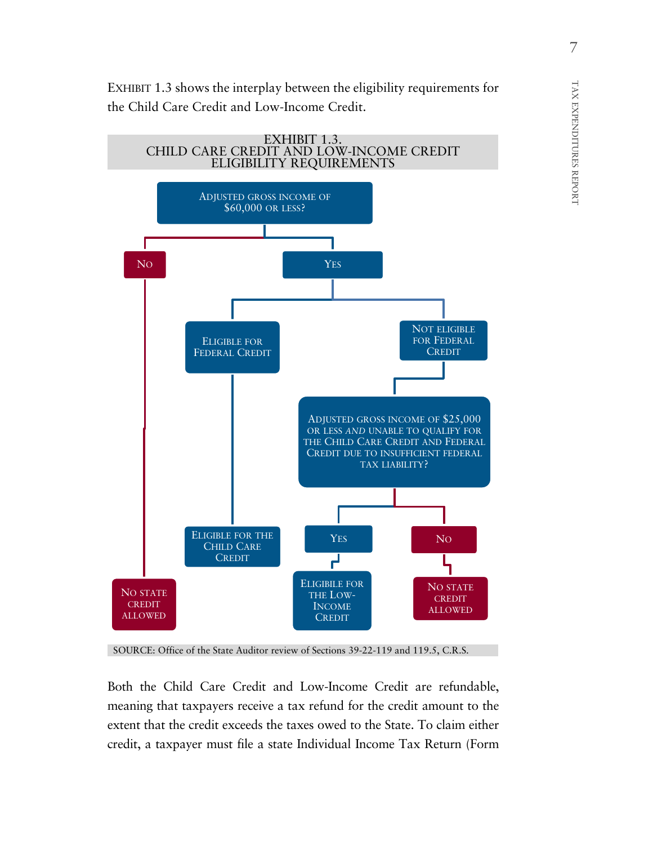EXHIBIT 1.3 shows the interplay between the eligibility requirements for the Child Care Credit and Low-Income Credit.



SOURCE: Office of the State Auditor review of Sections 39-22-119 and 119.5, C.R.S.

Both the Child Care Credit and Low-Income Credit are refundable, meaning that taxpayers receive a tax refund for the credit amount to the extent that the credit exceeds the taxes owed to the State. To claim either credit, a taxpayer must file a state Individual Income Tax Return (Form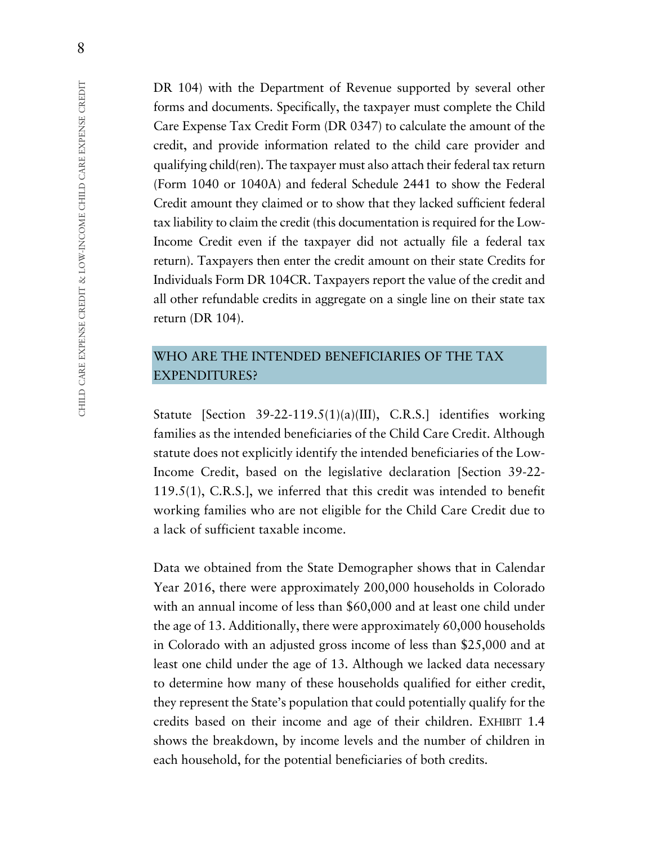DR 104) with the Department of Revenue supported by several other forms and documents. Specifically, the taxpayer must complete the Child Care Expense Tax Credit Form (DR 0347) to calculate the amount of the credit, and provide information related to the child care provider and qualifying child(ren). The taxpayer must also attach their federal tax return (Form 1040 or 1040A) and federal Schedule 2441 to show the Federal Credit amount they claimed or to show that they lacked sufficient federal tax liability to claim the credit (this documentation is required for the Low-Income Credit even if the taxpayer did not actually file a federal tax return). Taxpayers then enter the credit amount on their state Credits for Individuals Form DR 104CR. Taxpayers report the value of the credit and all other refundable credits in aggregate on a single line on their state tax return (DR 104).

## WHO ARE THE INTENDED BENEFICIARIES OF THE TAX EXPENDITURES?

Statute [Section 39-22-119.5(1)(a)(III), C.R.S.] identifies working families as the intended beneficiaries of the Child Care Credit. Although statute does not explicitly identify the intended beneficiaries of the Low-Income Credit, based on the legislative declaration [Section 39-22- 119.5(1), C.R.S.], we inferred that this credit was intended to benefit working families who are not eligible for the Child Care Credit due to a lack of sufficient taxable income.

Data we obtained from the State Demographer shows that in Calendar Year 2016, there were approximately 200,000 households in Colorado with an annual income of less than \$60,000 and at least one child under the age of 13. Additionally, there were approximately 60,000 households in Colorado with an adjusted gross income of less than \$25,000 and at least one child under the age of 13. Although we lacked data necessary to determine how many of these households qualified for either credit, they represent the State's population that could potentially qualify for the credits based on their income and age of their children. EXHIBIT 1.4 shows the breakdown, by income levels and the number of children in each household, for the potential beneficiaries of both credits.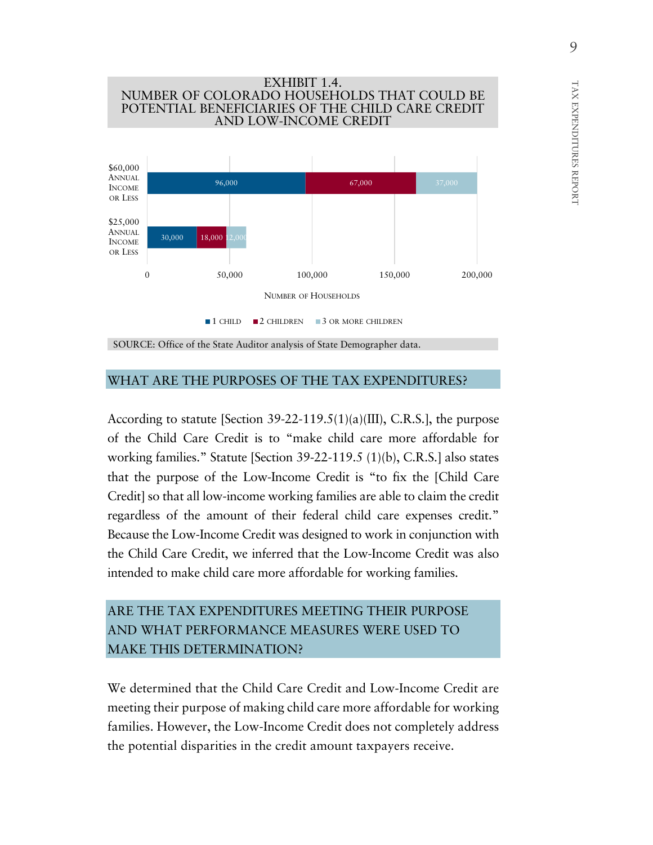

#### WHAT ARE THE PURPOSES OF THE TAX EXPENDITURES?

According to statute [Section 39-22-119.5(1)(a)(III), C.R.S.], the purpose of the Child Care Credit is to "make child care more affordable for working families." Statute [Section 39-22-119.5 (1)(b), C.R.S.] also states that the purpose of the Low-Income Credit is "to fix the [Child Care Credit] so that all low-income working families are able to claim the credit regardless of the amount of their federal child care expenses credit." Because the Low-Income Credit was designed to work in conjunction with the Child Care Credit, we inferred that the Low-Income Credit was also intended to make child care more affordable for working families.

## ARE THE TAX EXPENDITURES MEETING THEIR PURPOSE AND WHAT PERFORMANCE MEASURES WERE USED TO MAKE THIS DETERMINATION?

We determined that the Child Care Credit and Low-Income Credit are meeting their purpose of making child care more affordable for working families. However, the Low-Income Credit does not completely address the potential disparities in the credit amount taxpayers receive.

TAX EXPENDITURES

TAX EXPENDITURES REPORT

REPORT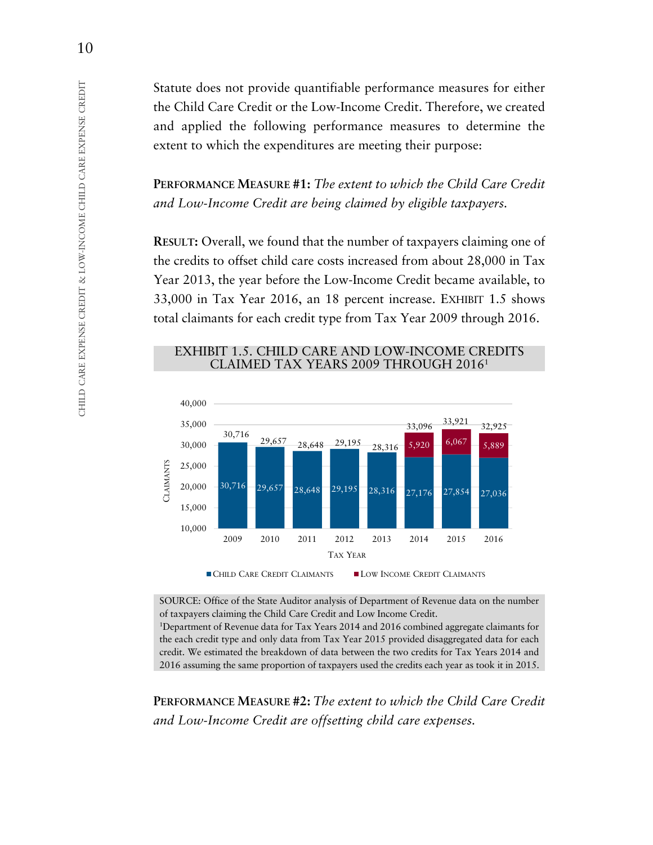Statute does not provide quantifiable performance measures for either the Child Care Credit or the Low-Income Credit. Therefore, we created and applied the following performance measures to determine the extent to which the expenditures are meeting their purpose:

**PERFORMANCE MEASURE #1:** *The extent to which the Child Care Credit and Low-Income Credit are being claimed by eligible taxpayers.*

**RESULT:** Overall, we found that the number of taxpayers claiming one of the credits to offset child care costs increased from about 28,000 in Tax Year 2013, the year before the Low-Income Credit became available, to 33,000 in Tax Year 2016, an 18 percent increase. EXHIBIT 1.5 shows total claimants for each credit type from Tax Year 2009 through 2016.

#### EXHIBIT 1.5. CHILD CARE AND LOW-INCOME CREDITS CLAIMED TAX YEARS 2009 THROUGH 20161



CHILD CARE CREDIT CLAIMANTS LOW INCOME CREDIT CLAIMANTS

SOURCE: Office of the State Auditor analysis of Department of Revenue data on the number of taxpayers claiming the Child Care Credit and Low Income Credit.

1 Department of Revenue data for Tax Years 2014 and 2016 combined aggregate claimants for the each credit type and only data from Tax Year 2015 provided disaggregated data for each credit. We estimated the breakdown of data between the two credits for Tax Years 2014 and 2016 assuming the same proportion of taxpayers used the credits each year as took it in 2015.

**PERFORMANCE MEASURE #2:** *The extent to which the Child Care Credit and Low-Income Credit are offsetting child care expenses.*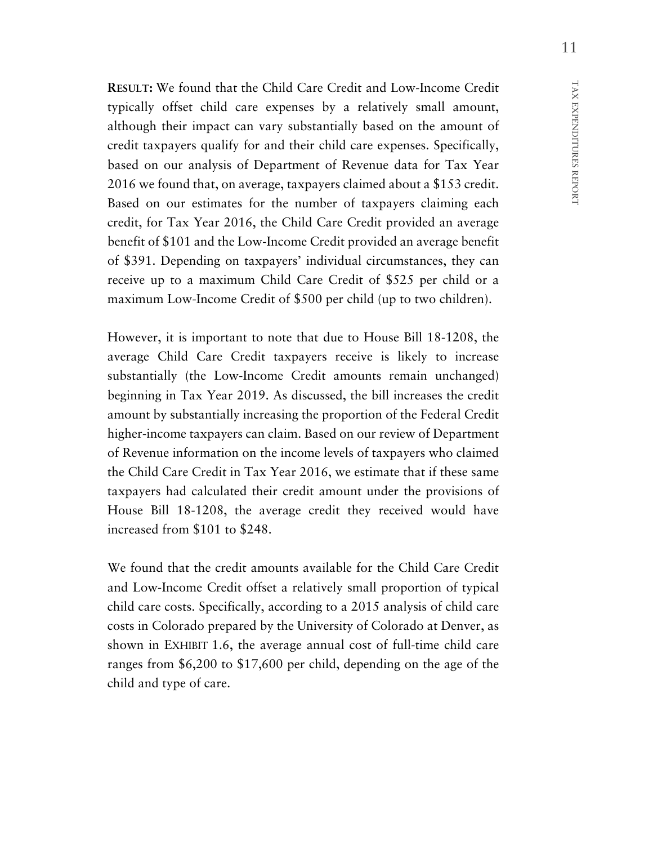**RESULT:** We found that the Child Care Credit and Low-Income Credit typically offset child care expenses by a relatively small amount, although their impact can vary substantially based on the amount of credit taxpayers qualify for and their child care expenses. Specifically, based on our analysis of Department of Revenue data for Tax Year 2016 we found that, on average, taxpayers claimed about a \$153 credit. Based on our estimates for the number of taxpayers claiming each credit, for Tax Year 2016, the Child Care Credit provided an average benefit of \$101 and the Low-Income Credit provided an average benefit of \$391. Depending on taxpayers' individual circumstances, they can receive up to a maximum Child Care Credit of \$525 per child or a maximum Low-Income Credit of \$500 per child (up to two children).

However, it is important to note that due to House Bill 18-1208, the average Child Care Credit taxpayers receive is likely to increase substantially (the Low-Income Credit amounts remain unchanged) beginning in Tax Year 2019. As discussed, the bill increases the credit amount by substantially increasing the proportion of the Federal Credit higher-income taxpayers can claim. Based on our review of Department of Revenue information on the income levels of taxpayers who claimed the Child Care Credit in Tax Year 2016, we estimate that if these same taxpayers had calculated their credit amount under the provisions of House Bill 18-1208, the average credit they received would have increased from \$101 to \$248.

We found that the credit amounts available for the Child Care Credit and Low-Income Credit offset a relatively small proportion of typical child care costs. Specifically, according to a 2015 analysis of child care costs in Colorado prepared by the University of Colorado at Denver, as shown in EXHIBIT 1.6, the average annual cost of full-time child care ranges from \$6,200 to \$17,600 per child, depending on the age of the child and type of care.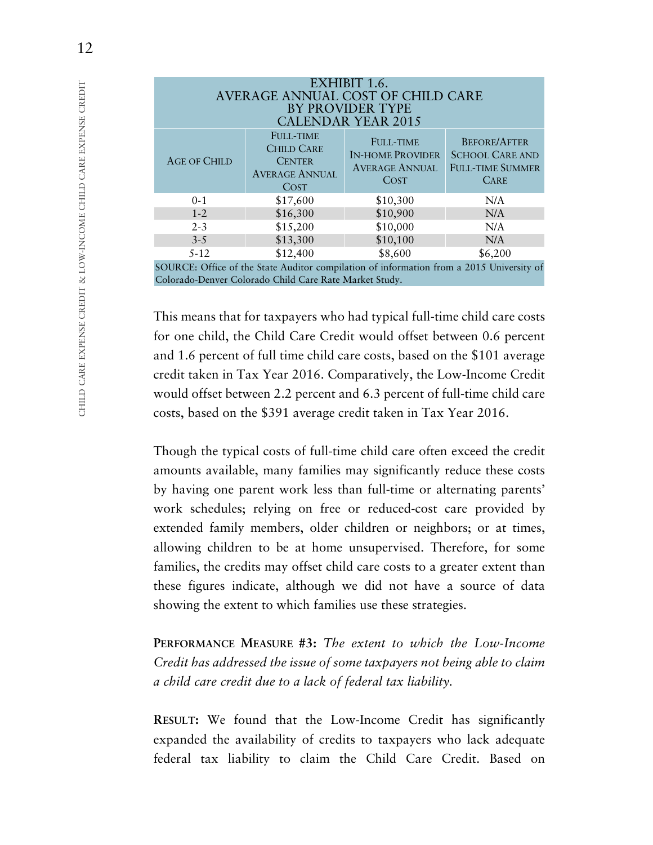| EXHIBIT 1.6.<br>AVERAGE ANNUAL COST OF CHILD CARE<br>BY PROVIDER TYPE<br><b>CALENDAR YEAR 2015</b> |                                                                                                |                                                                              |                                                                                         |
|----------------------------------------------------------------------------------------------------|------------------------------------------------------------------------------------------------|------------------------------------------------------------------------------|-----------------------------------------------------------------------------------------|
| <b>AGE OF CHILD</b>                                                                                | <b>FULL-TIME</b><br><b>CHILD CARE</b><br><b>CENTER</b><br><b>AVERAGE ANNUAL</b><br><b>COST</b> | <b>FULL-TIME</b><br><b>IN-HOME PROVIDER</b><br><b>AVERAGE ANNUAL</b><br>COST | <b>BEFORE/AFTER</b><br><b>SCHOOL CARE AND</b><br><b>FULL-TIME SUMMER</b><br><b>CARE</b> |
| $0 - 1$                                                                                            | \$17,600                                                                                       | \$10,300                                                                     | N/A                                                                                     |
| $1 - 2$                                                                                            | \$16,300                                                                                       | \$10,900                                                                     | N/A                                                                                     |
| $2 - 3$                                                                                            | \$15,200                                                                                       | \$10,000                                                                     | N/A                                                                                     |
| $3 - 5$                                                                                            | \$13,300                                                                                       | \$10,100                                                                     | N/A                                                                                     |
| $5 - 12$                                                                                           | \$12,400                                                                                       | \$8,600                                                                      | \$6,200                                                                                 |
| SOURCE: Office of the State Auditor compilation of information from a 2015 University of           |                                                                                                |                                                                              |                                                                                         |

Colorado-Denver Colorado Child Care Rate Market Study.

This means that for taxpayers who had typical full-time child care costs for one child, the Child Care Credit would offset between 0.6 percent and 1.6 percent of full time child care costs, based on the \$101 average credit taken in Tax Year 2016. Comparatively, the Low-Income Credit would offset between 2.2 percent and 6.3 percent of full-time child care costs, based on the \$391 average credit taken in Tax Year 2016.

Though the typical costs of full-time child care often exceed the credit amounts available, many families may significantly reduce these costs by having one parent work less than full-time or alternating parents' work schedules; relying on free or reduced-cost care provided by extended family members, older children or neighbors; or at times, allowing children to be at home unsupervised. Therefore, for some families, the credits may offset child care costs to a greater extent than these figures indicate, although we did not have a source of data showing the extent to which families use these strategies.

**PERFORMANCE MEASURE #3:** *The extent to which the Low-Income Credit has addressed the issue of some taxpayers not being able to claim a child care credit due to a lack of federal tax liability.* 

**RESULT:** We found that the Low-Income Credit has significantly expanded the availability of credits to taxpayers who lack adequate federal tax liability to claim the Child Care Credit. Based on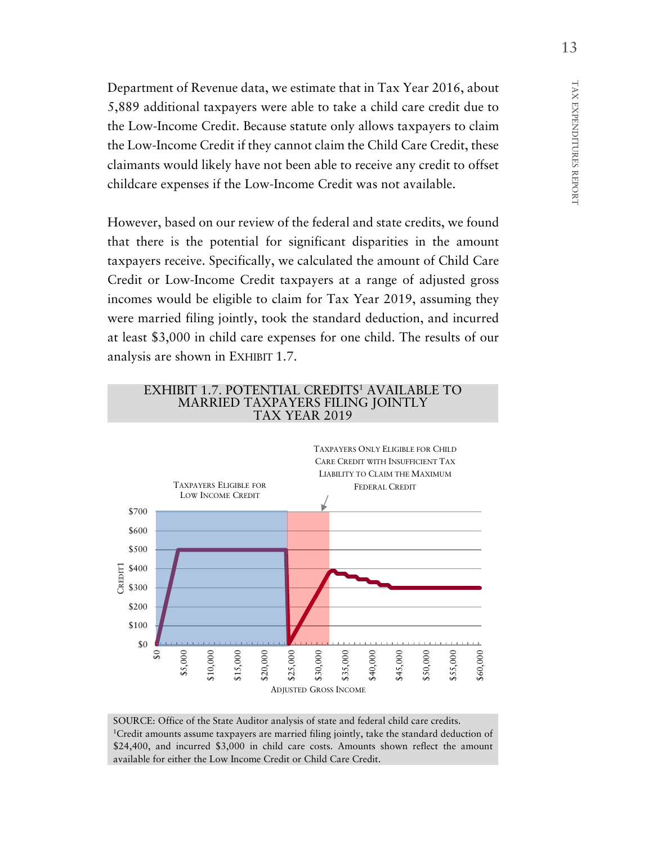Department of Revenue data, we estimate that in Tax Year 2016, about 5,889 additional taxpayers were able to take a child care credit due to the Low-Income Credit. Because statute only allows taxpayers to claim the Low-Income Credit if they cannot claim the Child Care Credit, these claimants would likely have not been able to receive any credit to offset childcare expenses if the Low-Income Credit was not available.

However, based on our review of the federal and state credits, we found that there is the potential for significant disparities in the amount taxpayers receive. Specifically, we calculated the amount of Child Care Credit or Low-Income Credit taxpayers at a range of adjusted gross incomes would be eligible to claim for Tax Year 2019, assuming they were married filing jointly, took the standard deduction, and incurred at least \$3,000 in child care expenses for one child. The results of our analysis are shown in EXHIBIT 1.7.



SOURCE: Office of the State Auditor analysis of state and federal child care credits. 1Credit amounts assume taxpayers are married filing jointly, take the standard deduction of \$24,400, and incurred \$3,000 in child care costs. Amounts shown reflect the amount available for either the Low Income Credit or Child Care Credit.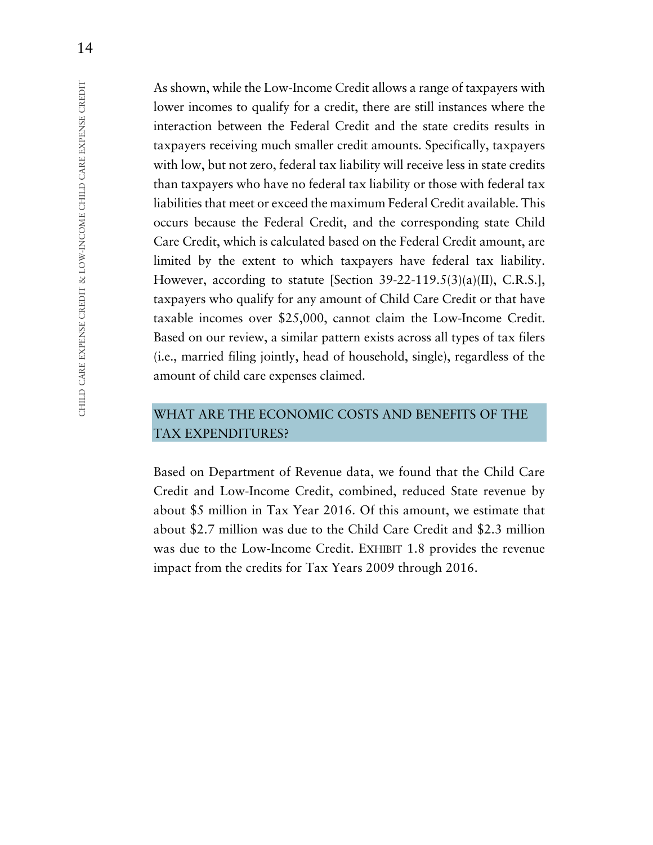As shown, while the Low-Income Credit allows a range of taxpayers with lower incomes to qualify for a credit, there are still instances where the interaction between the Federal Credit and the state credits results in taxpayers receiving much smaller credit amounts. Specifically, taxpayers with low, but not zero, federal tax liability will receive less in state credits than taxpayers who have no federal tax liability or those with federal tax liabilities that meet or exceed the maximum Federal Credit available. This occurs because the Federal Credit, and the corresponding state Child Care Credit, which is calculated based on the Federal Credit amount, are limited by the extent to which taxpayers have federal tax liability. However, according to statute [Section 39-22-119.5(3)(a)(II), C.R.S.], taxpayers who qualify for any amount of Child Care Credit or that have taxable incomes over \$25,000, cannot claim the Low-Income Credit. Based on our review, a similar pattern exists across all types of tax filers (i.e., married filing jointly, head of household, single), regardless of the amount of child care expenses claimed.

## WHAT ARE THE ECONOMIC COSTS AND BENEFITS OF THE TAX EXPENDITURES?

Based on Department of Revenue data, we found that the Child Care Credit and Low-Income Credit, combined, reduced State revenue by about \$5 million in Tax Year 2016. Of this amount, we estimate that about \$2.7 million was due to the Child Care Credit and \$2.3 million was due to the Low-Income Credit. EXHIBIT 1.8 provides the revenue impact from the credits for Tax Years 2009 through 2016.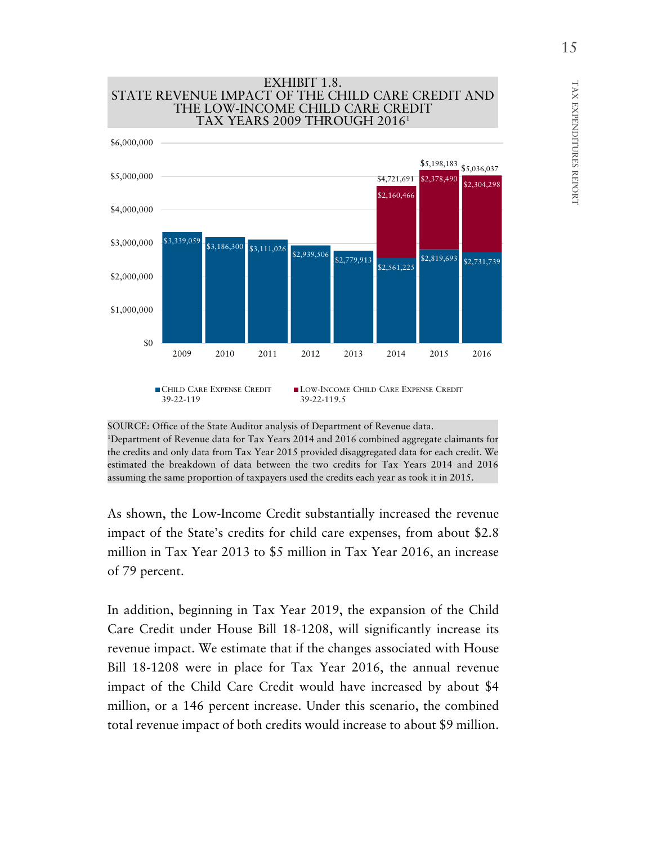

SOURCE: Office of the State Auditor analysis of Department of Revenue data. 1Department of Revenue data for Tax Years 2014 and 2016 combined aggregate claimants for the credits and only data from Tax Year 2015 provided disaggregated data for each credit. We estimated the breakdown of data between the two credits for Tax Years 2014 and 2016 assuming the same proportion of taxpayers used the credits each year as took it in 2015.

As shown, the Low-Income Credit substantially increased the revenue impact of the State's credits for child care expenses, from about \$2.8 million in Tax Year 2013 to \$5 million in Tax Year 2016, an increase of 79 percent.

In addition, beginning in Tax Year 2019, the expansion of the Child Care Credit under House Bill 18-1208, will significantly increase its revenue impact. We estimate that if the changes associated with House Bill 18-1208 were in place for Tax Year 2016, the annual revenue impact of the Child Care Credit would have increased by about \$4 million, or a 146 percent increase. Under this scenario, the combined total revenue impact of both credits would increase to about \$9 million.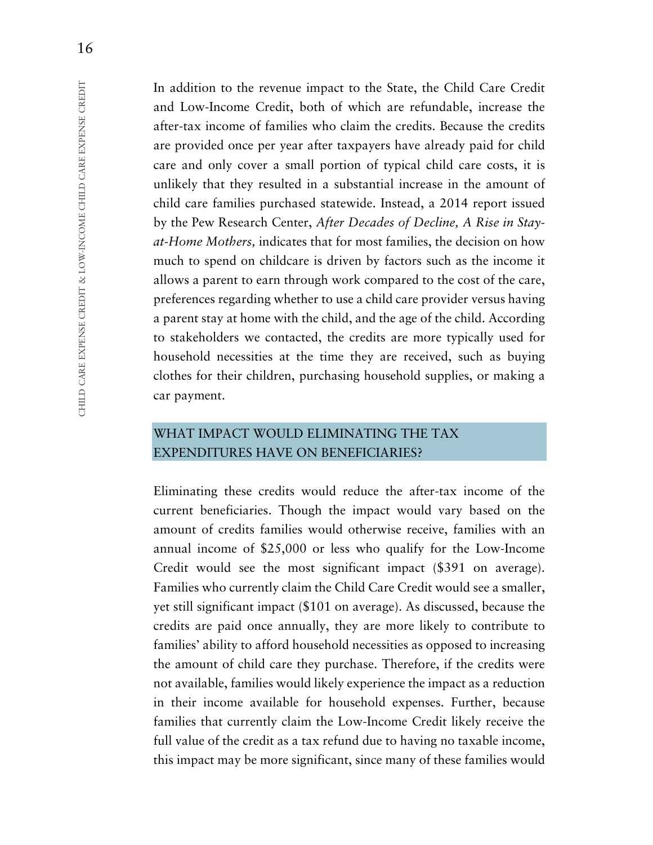In addition to the revenue impact to the State, the Child Care Credit and Low-Income Credit, both of which are refundable, increase the after-tax income of families who claim the credits. Because the credits are provided once per year after taxpayers have already paid for child care and only cover a small portion of typical child care costs, it is unlikely that they resulted in a substantial increase in the amount of child care families purchased statewide. Instead, a 2014 report issued by the Pew Research Center, *After Decades of Decline, A Rise in Stayat-Home Mothers,* indicates that for most families, the decision on how much to spend on childcare is driven by factors such as the income it allows a parent to earn through work compared to the cost of the care, preferences regarding whether to use a child care provider versus having a parent stay at home with the child, and the age of the child. According to stakeholders we contacted, the credits are more typically used for household necessities at the time they are received, such as buying clothes for their children, purchasing household supplies, or making a car payment.

## WHAT IMPACT WOULD ELIMINATING THE TAX EXPENDITURES HAVE ON BENEFICIARIES?

Eliminating these credits would reduce the after-tax income of the current beneficiaries. Though the impact would vary based on the amount of credits families would otherwise receive, families with an annual income of \$25,000 or less who qualify for the Low-Income Credit would see the most significant impact (\$391 on average). Families who currently claim the Child Care Credit would see a smaller, yet still significant impact (\$101 on average). As discussed, because the credits are paid once annually, they are more likely to contribute to families' ability to afford household necessities as opposed to increasing the amount of child care they purchase. Therefore, if the credits were not available, families would likely experience the impact as a reduction in their income available for household expenses. Further, because families that currently claim the Low-Income Credit likely receive the full value of the credit as a tax refund due to having no taxable income, this impact may be more significant, since many of these families would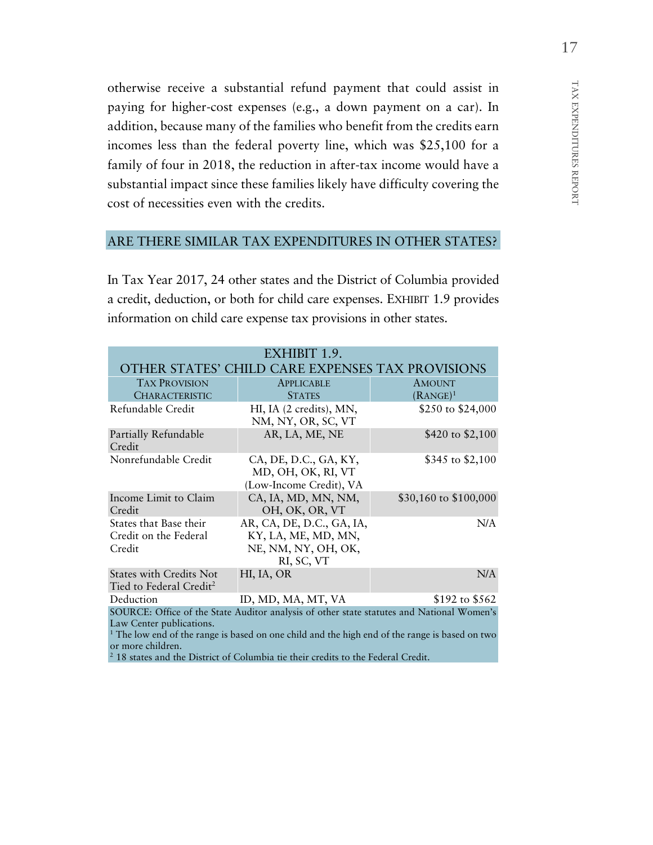otherwise receive a substantial refund payment that could assist in paying for higher-cost expenses (e.g., a down payment on a car). In addition, because many of the families who benefit from the credits earn incomes less than the federal poverty line, which was \$25,100 for a family of four in 2018, the reduction in after-tax income would have a substantial impact since these families likely have difficulty covering the cost of necessities even with the credits.

## ARE THERE SIMILAR TAX EXPENDITURES IN OTHER STATES?

In Tax Year 2017, 24 other states and the District of Columbia provided a credit, deduction, or both for child care expenses. EXHIBIT 1.9 provides information on child care expense tax provisions in other states.

| EXHIBIT 1.9.                                                                                                                                                                                                                                                                                                                                            |                                                                                       |                       |  |
|---------------------------------------------------------------------------------------------------------------------------------------------------------------------------------------------------------------------------------------------------------------------------------------------------------------------------------------------------------|---------------------------------------------------------------------------------------|-----------------------|--|
| OTHER STATES' CHILD CARE EXPENSES TAX PROVISIONS                                                                                                                                                                                                                                                                                                        |                                                                                       |                       |  |
| <b>TAX PROVISION</b>                                                                                                                                                                                                                                                                                                                                    | <b>APPLICABLE</b>                                                                     | <b>AMOUNT</b>         |  |
| <b>CHARACTERISTIC</b>                                                                                                                                                                                                                                                                                                                                   | <b>STATES</b>                                                                         | $(RANGE)^1$           |  |
| Refundable Credit                                                                                                                                                                                                                                                                                                                                       | HI, IA (2 credits), MN,<br>NM, NY, OR, SC, VT                                         | \$250 to \$24,000     |  |
| Partially Refundable<br>Credit                                                                                                                                                                                                                                                                                                                          | AR, LA, ME, NE                                                                        | \$420 to \$2,100      |  |
| Nonrefundable Credit                                                                                                                                                                                                                                                                                                                                    | CA, DE, D.C., GA, KY,<br>MD, OH, OK, RI, VT<br>(Low-Income Credit), VA                | \$345 to $$2,100$     |  |
| Income Limit to Claim<br>Credit                                                                                                                                                                                                                                                                                                                         | CA, IA, MD, MN, NM,<br>OH, OK, OR, VT                                                 | \$30,160 to \$100,000 |  |
| States that Base their<br>Credit on the Federal<br>Credit                                                                                                                                                                                                                                                                                               | AR, CA, DE, D.C., GA, IA,<br>KY, LA, ME, MD, MN,<br>NE, NM, NY, OH, OK,<br>RI, SC, VT | N/A                   |  |
| <b>States with Credits Not</b><br>Tied to Federal Credit <sup>2</sup>                                                                                                                                                                                                                                                                                   | HI, IA, OR                                                                            | N/A                   |  |
| Deduction                                                                                                                                                                                                                                                                                                                                               | ID, MD, MA, MT, VA                                                                    | \$192 to \$562        |  |
| SOURCE: Office of the State Auditor analysis of other state statutes and National Women's<br>Law Center publications.<br><sup>1</sup> The low end of the range is based on one child and the high end of the range is based on two<br>or more children.<br><sup>2</sup> 18 states and the District of Columbia tie their credits to the Federal Credit. |                                                                                       |                       |  |

TAX EXPENDITURES

TAX EXPENDITURES REPORT

REPORT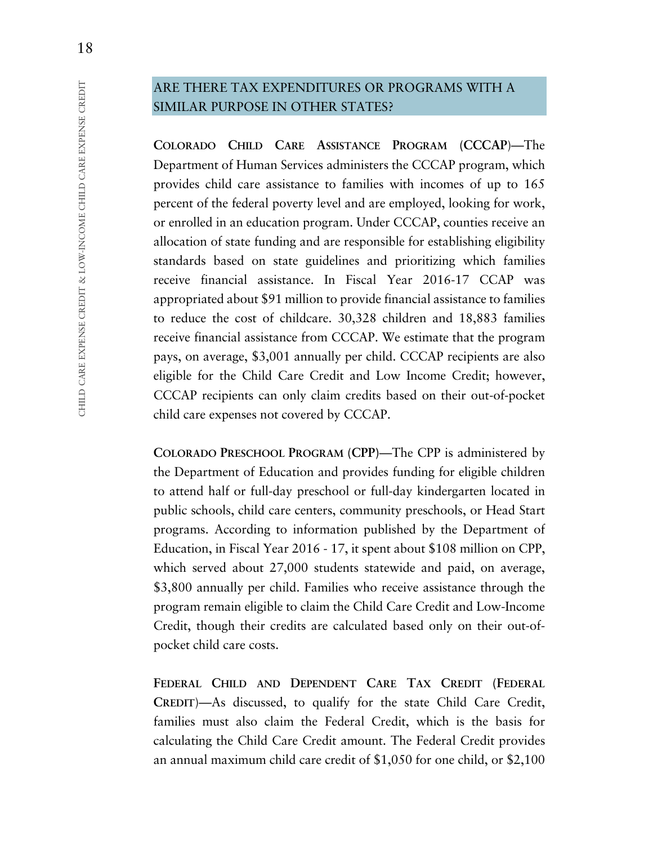## ARE THERE TAX EXPENDITURES OR PROGRAMS WITH A SIMILAR PURPOSE IN OTHER STATES?

**COLORADO CHILD CARE ASSISTANCE PROGRAM (CCCAP**)—The Department of Human Services administers the CCCAP program, which provides child care assistance to families with incomes of up to 165 percent of the federal poverty level and are employed, looking for work, or enrolled in an education program. Under CCCAP, counties receive an allocation of state funding and are responsible for establishing eligibility standards based on state guidelines and prioritizing which families receive financial assistance. In Fiscal Year 2016-17 CCAP was appropriated about \$91 million to provide financial assistance to families to reduce the cost of childcare. 30,328 children and 18,883 families receive financial assistance from CCCAP. We estimate that the program pays, on average, \$3,001 annually per child. CCCAP recipients are also eligible for the Child Care Credit and Low Income Credit; however, CCCAP recipients can only claim credits based on their out-of-pocket child care expenses not covered by CCCAP.

**COLORADO PRESCHOOL PROGRAM (CPP)**—The CPP is administered by the Department of Education and provides funding for eligible children to attend half or full-day preschool or full-day kindergarten located in public schools, child care centers, community preschools, or Head Start programs. According to information published by the Department of Education, in Fiscal Year 2016 - 17, it spent about \$108 million on CPP, which served about 27,000 students statewide and paid, on average, \$3,800 annually per child. Families who receive assistance through the program remain eligible to claim the Child Care Credit and Low-Income Credit, though their credits are calculated based only on their out-ofpocket child care costs.

**FEDERAL CHILD AND DEPENDENT CARE TAX CREDIT (FEDERAL CREDIT**)—As discussed, to qualify for the state Child Care Credit, families must also claim the Federal Credit, which is the basis for calculating the Child Care Credit amount. The Federal Credit provides an annual maximum child care credit of \$1,050 for one child, or \$2,100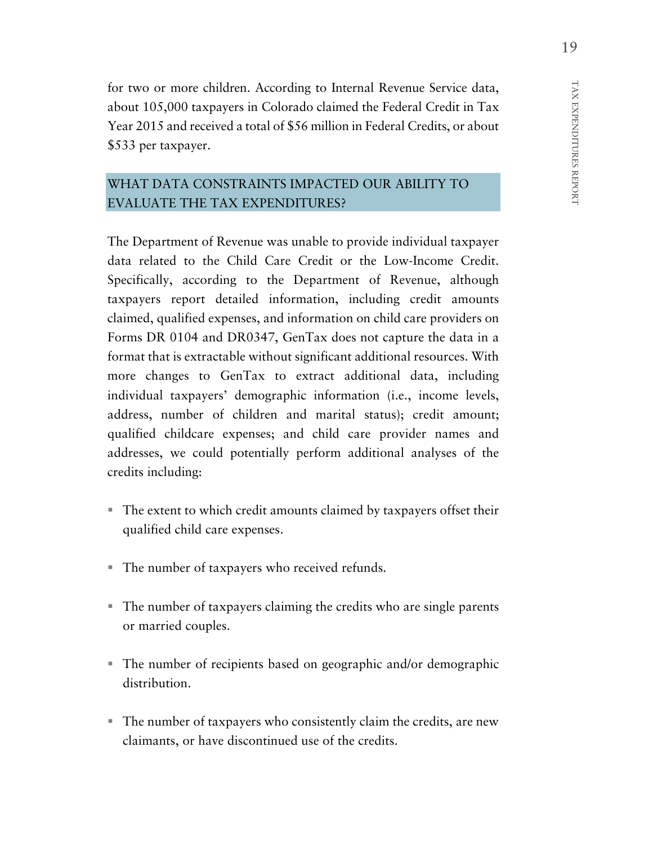for two or more children. According to Internal Revenue Service data, about 105,000 taxpayers in Colorado claimed the Federal Credit in Tax Year 2015 and received a total of \$56 million in Federal Credits, or about \$533 per taxpayer.

## WHAT DATA CONSTRAINTS IMPACTED OUR ABILITY TO EVALUATE THE TAX EXPENDITURES?

The Department of Revenue was unable to provide individual taxpayer data related to the Child Care Credit or the Low-Income Credit. Specifically, according to the Department of Revenue, although taxpayers report detailed information, including credit amounts claimed, qualified expenses, and information on child care providers on Forms DR 0104 and DR0347, GenTax does not capture the data in a format that is extractable without significant additional resources. With more changes to GenTax to extract additional data, including individual taxpayers' demographic information (i.e., income levels, address, number of children and marital status); credit amount; qualified childcare expenses; and child care provider names and addresses, we could potentially perform additional analyses of the credits including:

- The extent to which credit amounts claimed by taxpayers offset their qualified child care expenses.
- The number of taxpayers who received refunds.
- The number of taxpayers claiming the credits who are single parents or married couples.
- The number of recipients based on geographic and/or demographic distribution.
- The number of taxpayers who consistently claim the credits, are new claimants, or have discontinued use of the credits.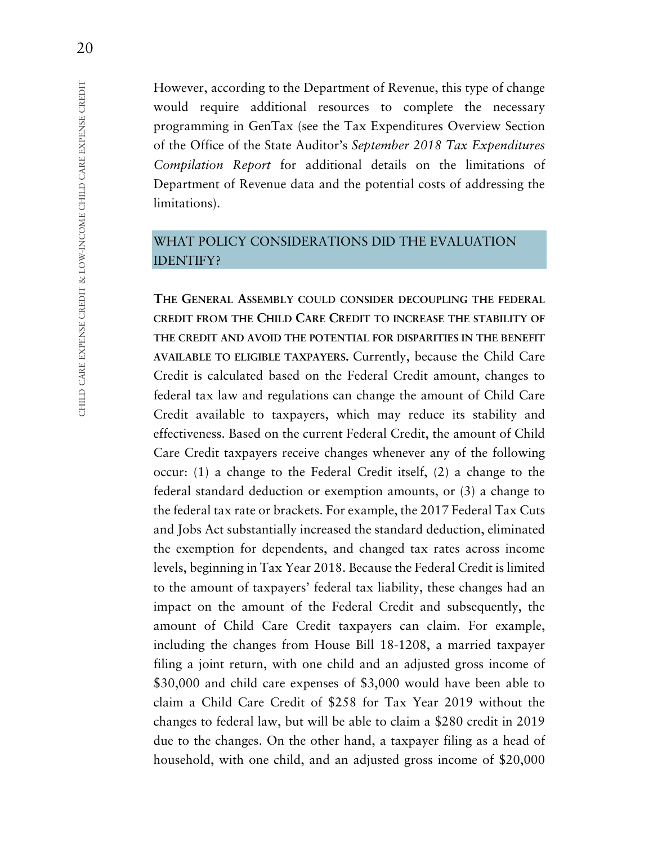However, according to the Department of Revenue, this type of change would require additional resources to complete the necessary programming in GenTax (see the Tax Expenditures Overview Section of the Office of the State Auditor's *September 2018 Tax Expenditures Compilation Report* for additional details on the limitations of Department of Revenue data and the potential costs of addressing the limitations).

## WHAT POLICY CONSIDERATIONS DID THE EVALUATION IDENTIFY?

**THE GENERAL ASSEMBLY COULD CONSIDER DECOUPLING THE FEDERAL CREDIT FROM THE CHILD CARE CREDIT TO INCREASE THE STABILITY OF THE CREDIT AND AVOID THE POTENTIAL FOR DISPARITIES IN THE BENEFIT AVAILABLE TO ELIGIBLE TAXPAYERS.** Currently, because the Child Care Credit is calculated based on the Federal Credit amount, changes to federal tax law and regulations can change the amount of Child Care Credit available to taxpayers, which may reduce its stability and effectiveness. Based on the current Federal Credit, the amount of Child Care Credit taxpayers receive changes whenever any of the following occur: (1) a change to the Federal Credit itself, (2) a change to the federal standard deduction or exemption amounts, or (3) a change to the federal tax rate or brackets. For example, the 2017 Federal Tax Cuts and Jobs Act substantially increased the standard deduction, eliminated the exemption for dependents, and changed tax rates across income levels, beginning in Tax Year 2018. Because the Federal Credit is limited to the amount of taxpayers' federal tax liability, these changes had an impact on the amount of the Federal Credit and subsequently, the amount of Child Care Credit taxpayers can claim. For example, including the changes from House Bill 18-1208, a married taxpayer filing a joint return, with one child and an adjusted gross income of \$30,000 and child care expenses of \$3,000 would have been able to claim a Child Care Credit of \$258 for Tax Year 2019 without the changes to federal law, but will be able to claim a \$280 credit in 2019 due to the changes. On the other hand, a taxpayer filing as a head of household, with one child, and an adjusted gross income of \$20,000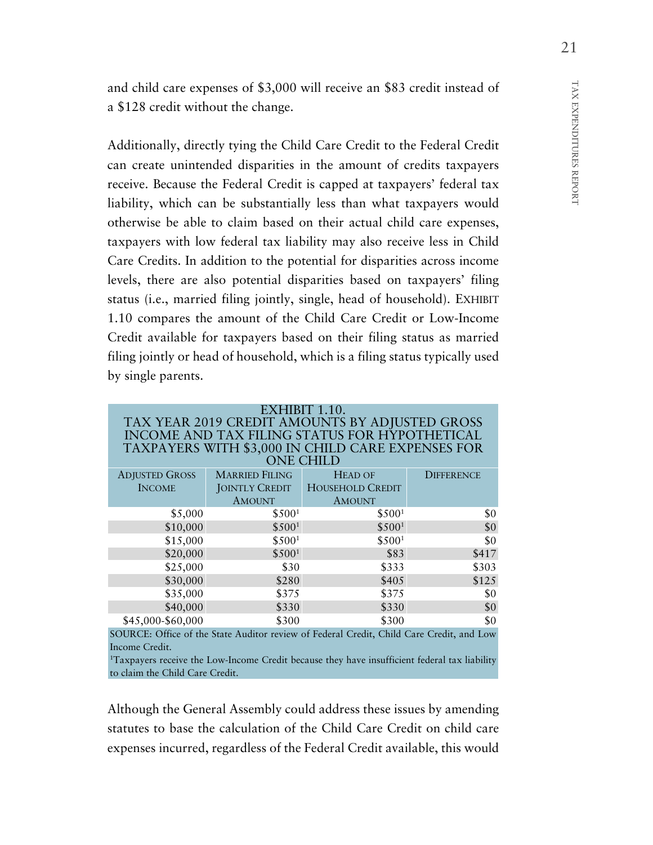TAX EXPENDITURES REPORT TAX EXPENDITURES REPORT

and child care expenses of \$3,000 will receive an \$83 credit instead of a \$128 credit without the change.

Additionally, directly tying the Child Care Credit to the Federal Credit can create unintended disparities in the amount of credits taxpayers receive. Because the Federal Credit is capped at taxpayers' federal tax liability, which can be substantially less than what taxpayers would otherwise be able to claim based on their actual child care expenses, taxpayers with low federal tax liability may also receive less in Child Care Credits. In addition to the potential for disparities across income levels, there are also potential disparities based on taxpayers' filing status (i.e., married filing jointly, single, head of household). EXHIBIT 1.10 compares the amount of the Child Care Credit or Low-Income Credit available for taxpayers based on their filing status as married filing jointly or head of household, which is a filing status typically used by single parents.

| EXHIBIT 1.10.<br>TAX YEAR 2019 CREDIT AMOUNTS BY ADJUSTED GROSS |                       |                                                                  |                         |
|-----------------------------------------------------------------|-----------------------|------------------------------------------------------------------|-------------------------|
|                                                                 |                       | INCOME AND TAX FILING STATUS FOR HYPOTHETICAL                    |                         |
|                                                                 |                       | TAXPAYERS WITH \$3,000 IN CHILD CARE EXPENSES FOR                |                         |
|                                                                 |                       | <b>ONE CHILD</b>                                                 |                         |
| <b>ADJUSTED GROSS</b>                                           | <b>MARRIED FILING</b> | <b>HEAD OF</b>                                                   | <b>DIFFERENCE</b>       |
| <b>INCOME</b>                                                   | JOINTLY CREDIT        | <b>HOUSEHOLD CREDIT</b>                                          |                         |
|                                                                 | <b>AMOUNT</b>         | <b>AMOUNT</b>                                                    |                         |
| \$5,000                                                         | \$500 <sup>1</sup>    | \$500 <sup>1</sup>                                               | \$0                     |
| \$10,000                                                        | \$500 <sup>1</sup>    | \$500 <sup>1</sup>                                               | \$0                     |
| \$15,000                                                        | \$500 <sup>1</sup>    | \$500 <sup>1</sup>                                               | \$0                     |
| \$20,000                                                        | \$500 <sup>1</sup>    | \$83                                                             | \$417                   |
| \$25,000                                                        | \$30                  | \$333                                                            | \$303                   |
| \$30,000                                                        | \$280                 | \$405                                                            | \$125                   |
| \$35,000                                                        | \$375                 | \$375                                                            | \$0                     |
| \$40,000                                                        | \$330                 | \$330                                                            | \$0                     |
| \$45,000-\$60,000                                               | \$300                 | \$300                                                            | \$0                     |
| $\sim$                                                          |                       | $\epsilon$ m $\epsilon$<br>$\sim$ $\sim$ $\sim$ $\sim$<br>01.110 | $\rightarrow$<br>$\sim$ |

SOURCE: Office of the State Auditor review of Federal Credit, Child Care Credit, and Low Income Credit.

1Taxpayers receive the Low-Income Credit because they have insufficient federal tax liability to claim the Child Care Credit.

Although the General Assembly could address these issues by amending statutes to base the calculation of the Child Care Credit on child care expenses incurred, regardless of the Federal Credit available, this would